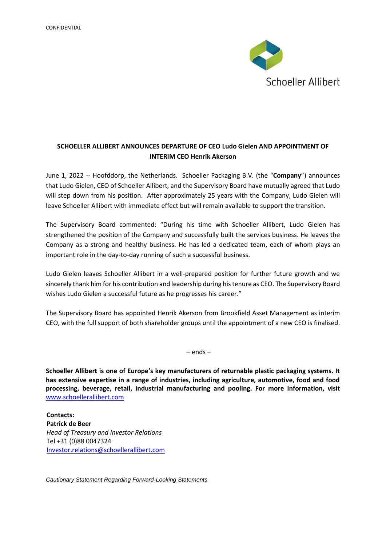

## **SCHOELLER ALLIBERT ANNOUNCES DEPARTURE OF CEO Ludo Gielen AND APPOINTMENT OF INTERIM CEO Henrik Akerson**

June 1, 2022 -- Hoofddorp, the Netherlands. Schoeller Packaging B.V. (the "**Company**") announces that Ludo Gielen, CEO of Schoeller Allibert, and the Supervisory Board have mutually agreed that Ludo will step down from his position. After approximately 25 years with the Company, Ludo Gielen will leave Schoeller Allibert with immediate effect but will remain available to support the transition.

The Supervisory Board commented: "During his time with Schoeller Allibert, Ludo Gielen has strengthened the position of the Company and successfully built the services business. He leaves the Company as a strong and healthy business. He has led a dedicated team, each of whom plays an important role in the day-to-day running of such a successful business.

Ludo Gielen leaves Schoeller Allibert in a well-prepared position for further future growth and we sincerely thank him for his contribution and leadership during his tenure as CEO. The Supervisory Board wishes Ludo Gielen a successful future as he progresses his career."

The Supervisory Board has appointed Henrik Akerson from Brookfield Asset Management as interim CEO, with the full support of both shareholder groups until the appointment of a new CEO is finalised.

– ends –

**Schoeller Allibert is one of Europe's key manufacturers of returnable plastic packaging systems. It has extensive expertise in a range of industries, including agriculture, automotive, food and food processing, beverage, retail, industrial manufacturing and pooling. For more information, visit**  [www.schoellerallibert.com](http://www.schoellerallibert.com/)

**Contacts: Patrick de Beer** *Head of Treasury and Investor Relations* Tel +31 (0)88 0047324 [Investor.relations@schoellerallibert.com](mailto:Investor.relations@schoellerallibert.com)

*Cautionary Statement Regarding Forward-Looking Statements*